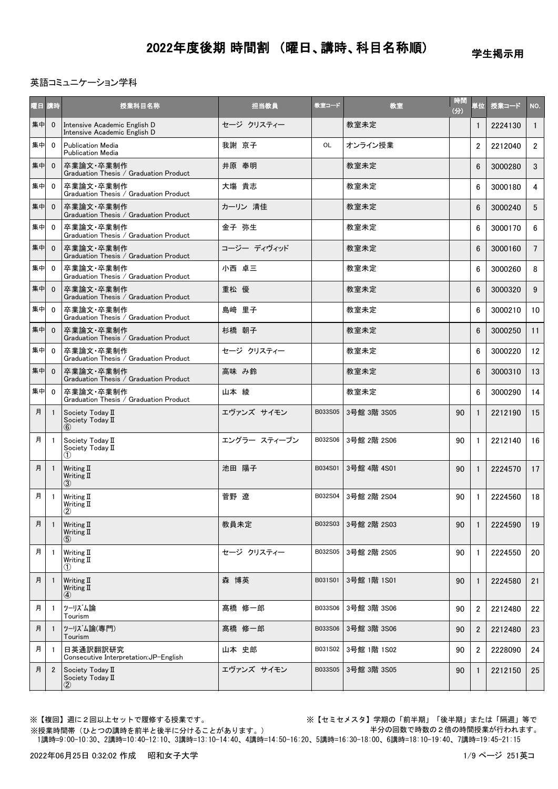学生掲示用

#### 英語コミュニケーション学科

| 曜日 | 講時             | 授業科目名称                                                       | 担当教員         | 教室コード   | 教室          | 時間<br>(分) | 単位             | 授業コード   | NO.             |
|----|----------------|--------------------------------------------------------------|--------------|---------|-------------|-----------|----------------|---------|-----------------|
| 集中 | $\mathbf{0}$   | Intensive Academic English D<br>Intensive Academic English D | セージ クリスティー   |         | 教室未定        |           | 1              | 2224130 | $\mathbf{1}$    |
| 集中 | $\mathbf{0}$   | <b>Publication Media</b><br><b>Publication Media</b>         | 我謝 京子        | OL      | オンライン授業     |           | $\overline{2}$ | 2212040 | $\overline{2}$  |
| 集中 | $\mathbf{0}$   | 卒業論文·卒業制作<br>Graduation Thesis / Graduation Product          | 井原 奉明        |         | 教室未定        |           | 6              | 3000280 | 3               |
| 集中 | $\mathbf 0$    | 卒業論文·卒業制作<br>Graduation Thesis / Graduation Product          | 大塲 貴志        |         | 教室未定        |           | 6              | 3000180 | 4               |
| 集中 | $\mathbf{0}$   | 卒業論文・卒業制作<br>Graduation Thesis / Graduation Product          | カーリン 清佳      |         | 教室未定        |           | 6              | 3000240 | 5               |
| 集中 | $\mathbf{0}$   | 卒業論文·卒業制作<br>Graduation Thesis / Graduation Product          | 金子 弥生        |         | 教室未定        |           | 6              | 3000170 | 6               |
| 集中 | $\mathbf{0}$   | 卒業論文・卒業制作<br>Graduation Thesis / Graduation Product          | コージー ディヴィッド  |         | 教室未定        |           | 6              | 3000160 | $7\overline{ }$ |
| 集中 | $\mathbf 0$    | 卒業論文・卒業制作<br>Graduation Thesis / Graduation Product          | 小西 卓三        |         | 教室未定        |           | 6              | 3000260 | 8               |
| 集中 | $\mathbf 0$    | 卒業論文·卒業制作<br>Graduation Thesis / Graduation Product          | 重松 優         |         | 教室未定        |           | 6              | 3000320 | 9               |
| 集中 | $\mathbf{0}$   | 卒業論文・卒業制作<br>Graduation Thesis / Graduation Product          | 島崎 里子        |         | 教室未定        |           | 6              | 3000210 | 10              |
| 集中 | $\mathbf{0}$   | 卒業論文・卒業制作<br>Graduation Thesis / Graduation Product          | 杉橋 朝子        |         | 教室未定        |           | 6              | 3000250 | 11              |
| 集中 | $\mathbf{0}$   | 卒業論文·卒業制作<br>Graduation Thesis / Graduation Product          | セージ クリスティー   |         | 教室未定        |           | 6              | 3000220 | 12              |
| 集中 | $\mathbf{0}$   | 卒業論文・卒業制作<br>Graduation Thesis / Graduation Product          | 高味 み鈴        |         | 教室未定        |           | 6              | 3000310 | 13              |
| 集中 | $\mathbf 0$    | 卒業論文·卒業制作<br>Graduation Thesis / Graduation Product          | 山本 綾         |         | 教室未定        |           | 6              | 3000290 | 14              |
| 月  | -1             | Society Today II<br>Society Today II<br>(6)                  | エヴァンズ サイモン   | B033S05 | 3号館 3階 3S05 | 90        | $\mathbf{1}$   | 2212190 | 15              |
| 月  | -1             | Society Today II<br>Society Today II<br>(1)                  | エングラー スティーブン | B032S06 | 3号館 2階 2S06 | 90        | 1              | 2212140 | 16              |
| 月  | -1             | Writing II<br>Writing II<br>(3)                              | 池田 陽子        | B034S01 | 3号館 4階 4S01 | 90        | $\mathbf{1}$   | 2224570 | 17              |
| 月  | $\overline{1}$ | Writing II<br>Writing II<br>2                                | 菅野 遼         | B032S04 | 3号館 2階 2S04 | 90        | $\mathbf{1}$   | 2224560 | 18              |
| 月  | $\overline{1}$ | Writing II<br>Writing II<br>$\left( 5\right)$                | 教員未定         | B032S03 | 3号館 2階 2S03 | 90        | 1              | 2224590 | 19              |
| 月  | - 1            | Writing II<br>Writing II<br>(1)                              | セージ クリスティー   | B032S05 | 3号館 2階 2S05 | 90        | 1              | 2224550 | 20              |
| 月  | - 1            | Writing II<br>Writing II<br>④                                | 森 博英         | B031S01 | 3号館 1階 1S01 | 90        | 1              | 2224580 | 21              |
| 月  | -1             | ツーリズム論<br>Tourism                                            | 髙橋 修一郎       | B033S06 | 3号館 3階 3S06 | 90        | $\overline{2}$ | 2212480 | 22              |
| 月  |                | ツーリズム論(専門)<br>Tourism                                        | 髙橋 修一郎       | B033S06 | 3号館 3階 3S06 | 90        | $\overline{2}$ | 2212480 | 23              |
| 月  | -1             | 日英通訳翻訳研究<br>Consecutive Interpretation: JP-English           | 山本 史郎        | B031S02 | 3号館 1階 1S02 | 90        | $\overline{2}$ | 2228090 | 24              |
| 月  | $\overline{2}$ | Society Today II<br>Society Today II<br>②                    | エヴァンズ サイモン   | B033S05 | 3号館 3階 3S05 | 90        | 1              | 2212150 | 25              |

※【複回】週に2回以上セットで履修する授業です。 ※【セミセメスタ】学期の「前半期」「後半期」または「隔週」等で 半分の回数で時数の2倍の時間授業が行われます。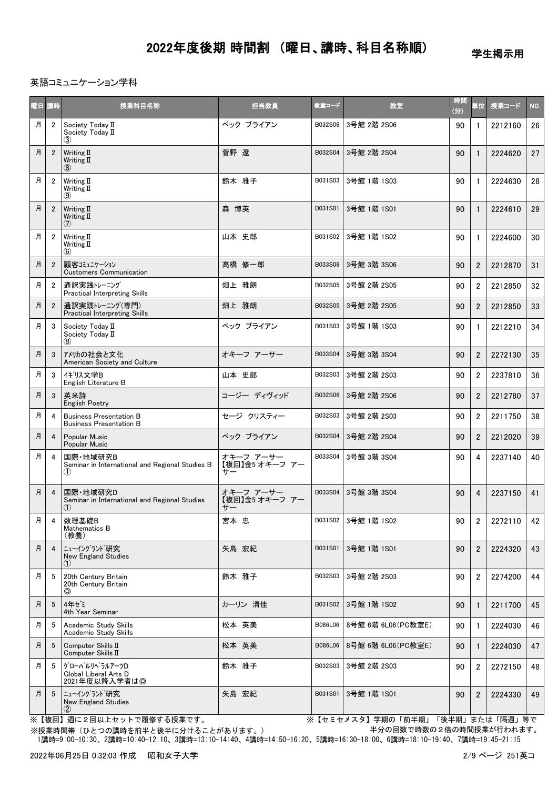学生掲示用

### 英語コミュニケーション学科

| 曜日 | 請時             | 授業科目名称                                                             | 担当教員                              | 教室コード   | 教室                  | 時間<br>(分) | 単位             | 授業コード   | NO.             |
|----|----------------|--------------------------------------------------------------------|-----------------------------------|---------|---------------------|-----------|----------------|---------|-----------------|
| 月  | $\overline{2}$ | Society Today II<br>Society Today II<br>(3)                        | ペック ブライアン                         | B032S06 | 3号館 2階 2S06         | 90        | 1              | 2212160 | 26              |
| 月  | $\overline{2}$ | Writing $\Pi$<br>Writing II<br>(8)                                 | 菅野 遼                              | B032S04 | 3号館 2階 2S04         | 90        | $\mathbf{1}$   | 2224620 | 27              |
| 月  | $\overline{2}$ | Writing II<br>Writing II<br>$\circledcirc$                         | 鈴木 雅子                             | B031S03 | 3号館 1階 1S03         | 90        | $\mathbf{1}$   | 2224630 | 28              |
| 月  | $\overline{2}$ | Writing II<br>Writing II<br>(7)                                    | 森 博英                              | B031S01 | 3号館 1階 1S01         | 90        | $\mathbf{1}$   | 2224610 | 29              |
| 月  | $\overline{2}$ | Writing II<br>Writing II<br>(6)                                    | 山本 史郎                             | B031S02 | 3号館 1階 1S02         | 90        | $\mathbf{1}$   | 2224600 | 30              |
| 月  | $\overline{2}$ | 顧客コミュニケーション<br><b>Customers Communication</b>                      | 髙橋 修一郎                            | B033S06 | 3号館 3階 3S06         | 90        | $\overline{2}$ | 2212870 | 31              |
| 月  | $\overline{2}$ | 通訳実践トレーニング<br>Practical Interpreting Skills                        | 畑上 雅朗                             | B032S05 | 3号館 2階 2S05         | 90        | $\overline{2}$ | 2212850 | 32 <sub>2</sub> |
| 月  | $\overline{2}$ | 通訳実践トレーニング(専門)<br><b>Practical Interpreting Skills</b>             | 畑上 雅朗                             | B032S05 | 3号館 2階 2S05         | 90        | $\overline{2}$ | 2212850 | 33              |
| 月  | 3              | Society Today II<br>Society Today II<br>$\left( 8\right)$          | ペック ブライアン                         | B031S03 | 3号館 1階 1S03         | 90        | $\mathbf{1}$   | 2212210 | 34              |
| 月  | 3              | アメリカの社会と文化<br>American Society and Culture                         | オキーフ アーサー                         | B033S04 | 3号館 3階 3S04         | 90        | $\overline{2}$ | 2272130 | 35              |
| 月  | 3              | イギリス文学B<br>English Literature B                                    | 山本 史郎                             | B032S03 | 3号館 2階 2S03         | 90        | $\overline{2}$ | 2237810 | 36              |
| 月  | 3              | 英米詩<br>English Poetry                                              | コージー ディヴィッド                       | B032S06 | 3号館 2階 2S06         | 90        | $\overline{2}$ | 2212780 | 37              |
| 月  | 4              | <b>Business Presentation B</b><br><b>Business Presentation B</b>   | セージ クリスティー                        | B032S03 | 3号館 2階 2S03         | 90        | $\overline{2}$ | 2211750 | 38              |
| 月  | 4              | Popular Music<br>Popular Music                                     | ペック ブライアン                         | B032S04 | 3号館 2階 2S04         | 90        | $\overline{2}$ | 2212020 | 39              |
| 月  | 4              | 国際·地域研究B<br>Seminar in International and Regional Studies B<br>(1) | オキーフ アーサー<br>【複回】金5 オキーフ アー<br>サー | B033S04 | 3号館 3階 3S04         | 90        | 4              | 2237140 | 40              |
| 月  | $\overline{4}$ | 国際·地域研究D<br>Seminar in International and Regional Studies<br>(1)   | オキーフ アーサー<br>【複回】金5 オキーフ アー<br>サー | B033S04 | 3号館 3階 3S04         | 90        | 4              | 2237150 | 41              |
| 月  | 4              | 数理基礎B<br>Mathematics B<br>(教養)                                     | 宮本 忠                              | B031S02 | 3号館 1階 1S02         | 90        | 2              | 2272110 | 42              |
| 月  | $\overline{4}$ | ニューイングラント゛研究<br>New England Studies<br>(1)                         | 矢島 宏紀                             | B031S01 | 3号館 1階 1S01         | 90        | $\overline{2}$ | 2224320 | 43              |
| 月  | 5              | 20th Century Britain<br>20th Century Britain<br>⊚                  | 鈴木 雅子                             | B032S03 | 3号館 2階 2S03         | 90        | $\overline{2}$ | 2274200 | 44              |
| 月  | 5              | 4年ゼミ<br>4th Year Seminar                                           | カーリン 清佳                           | B031S02 | 3号館 1階 1S02         | 90        | $\mathbf{1}$   | 2211700 | 45              |
| 月  | 5              | Academic Study Skills<br>Academic Study Skills                     | 松本 英美                             | B086L06 | 8号館 6階 6L06 (PC教室E) | 90        | 1              | 2224030 | 46              |
| 月  | 5              | Computer Skills II<br>Computer Skills II                           | 松本 英美                             | B086L06 | 8号館 6階 6L06(PC教室E)  | 90        | $\mathbf{1}$   | 2224030 | 47              |
| 月  | - 5            | グローバルリヘラルアーツD<br>Global Liberal Arts D<br>2021年度以降入学者は◎            | 鈴木 雅子                             | B032S03 | 3号館 2階 2S03         | 90        | $\overline{2}$ | 2272150 | 48              |
| 月  | 5              | ニューイングラント゛研究<br>New England Studies<br>$\circled{2}$               | 矢島 宏紀                             | B031S01 | 3号館 1階 1S01         | 90        | $\overline{2}$ | 2224330 | 49              |

※【複回】週に2回以上セットで履修する授業です。 ※【セミセメスタ】学期の「前半期」「後半期」または「隔週」等で 半分の回数で時数の2倍の時間授業が行われます。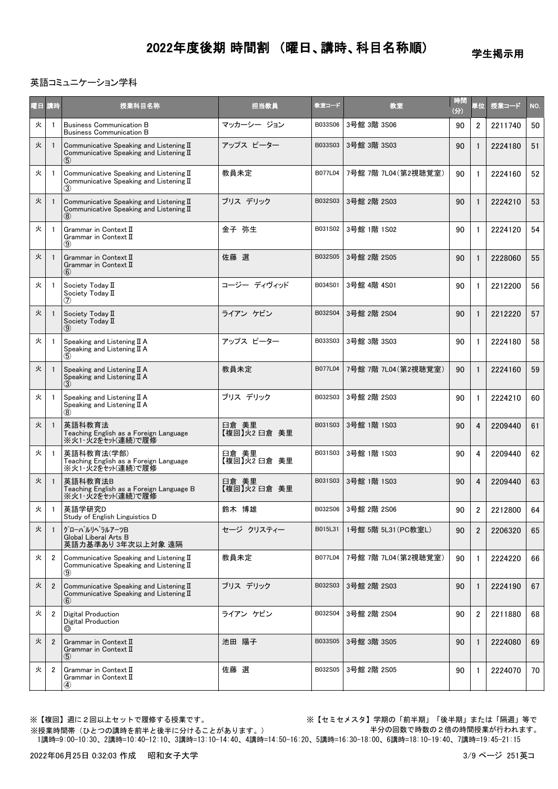学生掲示用

### 英語コミュニケーション学科

| 曜日 講時 |                | 授業科目名称                                                                                                          | 担当教員                  | 教室コード   | 教室                   | 時間<br>(分) | 単位             | 授業コード   | NO. |
|-------|----------------|-----------------------------------------------------------------------------------------------------------------|-----------------------|---------|----------------------|-----------|----------------|---------|-----|
| 火     |                | <b>Business Communication B</b><br><b>Business Communication B</b>                                              | マッカーシー ジョン            | B033S06 | 3号館 3階 3S06          | 90        | $\overline{2}$ | 2211740 | 50  |
| 火     |                | Communicative Speaking and Listening II<br>Communicative Speaking and Listening II<br>$\left( 5\right)$         | アップス ピーター             | B033S03 | 3号館 3階 3S03          | 90        |                | 2224180 | 51  |
| 火     |                | Communicative Speaking and Listening $I\!I$<br>Communicative Speaking and Listening $I\!I$<br>$\left( 3\right)$ | 教員未定                  | B077L04 | 7号館 7階 7L04 (第2視聴覚室) | 90        | -1             | 2224160 | 52  |
| 火     |                | Communicative Speaking and Listening $I\!I$<br>Communicative Speaking and Listening II<br>(8)                   | ブリス デリック              | B032S03 | 3号館 2階 2S03          | 90        |                | 2224210 | 53  |
| 火     | -1             | Grammar in Context II<br>Grammar in Context II<br>(9)                                                           | 金子 弥生                 | B031S02 | 3号館 1階 1S02          | 90        | -1             | 2224120 | 54  |
| 火     | $\mathbf{1}$   | Grammar in Context II<br>Grammar in Context II<br>(6)                                                           | 佐藤 選                  | B032S05 | 3号館 2階 2S05          | 90        |                | 2228060 | 55  |
| 火     | -1             | Society Todav II<br>Society Today II<br>(7)                                                                     | コージー ディヴィッド           | B034S01 | 3号館 4階 4S01          | 90        |                | 2212200 | 56  |
| 火     |                | Society Today II<br>Society Today II<br>(9)                                                                     | ライアン ケビン              | B032S04 | 3号館 2階 2S04          | 90        |                | 2212220 | 57  |
| 火     |                | Speaking and Listening II A<br>Speaking and Listening II A<br>(5)                                               | アップス ピーター             | B033S03 | 3号館 3階 3S03          | 90        | $\mathbf{1}$   | 2224180 | 58  |
| 火     |                | Speaking and Listening $II A$<br>Speaking and Listening II A                                                    | 教員未定                  | B077L04 | 7号館 7階 7L04 (第2視聴覚室) | 90        |                | 2224160 | 59  |
| 火     |                | Speaking and Listening $II A$<br>Speaking and Listening $II A$<br>$\left( 8\right)$                             | ブリス デリック              | B032S03 | 3号館 2階 2S03          | 90        |                | 2224210 | 60  |
| 火     |                | 英語科教育法<br>Teaching English as a Foreign Language<br>※火1・火2をセット(連続)で履修                                           | 臼倉 美里<br>【複回】火2 臼倉 美里 | B031S03 | 3号館 1階 1S03          | 90        | 4              | 2209440 | 61  |
| 火     | -1             | 英語科教育法(学部)<br>Teaching English as a Foreign Language<br>※火1・火2をセット(連続)で履修                                       | 臼倉 美里<br>【複回】火2 臼倉 美里 | B031S03 | 3号館 1階 1S03          | 90        | 4              | 2209440 | 62  |
| 火     | -1             | 英語科教育法B<br>Teaching English as a Foreign Language B<br>※火1・火2をセット(連続)で履修                                        | 臼倉 美里<br>【複回】火2 臼倉 美里 | B031S03 | 3号館 1階 1S03          | 90        | 4              | 2209440 | 63  |
| 火     | -1             | 英語学研究D<br>Study of English Linguistics D                                                                        | 鈴木 博雄                 |         | B032S06 3号館 2階 2S06  | 90        | $\overline{2}$ | 2212800 | 64  |
| 火     | $\mathbf{1}$   | グローバルリベラルアーツB<br>Global Liberal Arts B<br>英語力基準あり3年次以上対象 遠隔                                                     | セージ クリスティー            | B015L31 | 1号館 5階 5L31 (PC教室L)  | 90        | $\overline{2}$ | 2206320 | 65  |
| 火     | $\overline{2}$ | Communicative Speaking and Listening II<br>Communicative Speaking and Listening $I\!I$<br>$\left( 9\right)$     | 教員未定                  | B077L04 | 7号館 7階 7L04 (第2視聴覚室) | 90        |                | 2224220 | 66  |
| 火     | $\overline{2}$ | Communicative Speaking and Listening II<br>Communicative Speaking and Listening $I\!I$<br>(6)                   | ブリス デリック              | B032S03 | 3号館 2階 2S03          | 90        |                | 2224190 | 67  |
| 火     | $\overline{2}$ | Digital Production<br><b>Digital Production</b><br>◎                                                            | ライアン ケビン              | B032S04 | 3号館 2階 2S04          | 90        | $\overline{2}$ | 2211880 | 68  |
| 火     | $\overline{2}$ | Grammar in Context II<br>Grammar in Context II<br>(5)                                                           | 池田 陽子                 | B033S05 | 3号館 3階 3S05          | 90        |                | 2224080 | 69  |
| 火     | $\overline{2}$ | Grammar in Context II<br>Grammar in Context II<br>④                                                             | 佐藤 選                  | B032S05 | 3号館 2階 2S05          | 90        |                | 2224070 | 70  |

※【複回】週に2回以上セットで履修する授業です。 ※【セミセメスタ】学期の「前半期」「後半期」または「隔週」等で 半分の回数で時数の2倍の時間授業が行われます。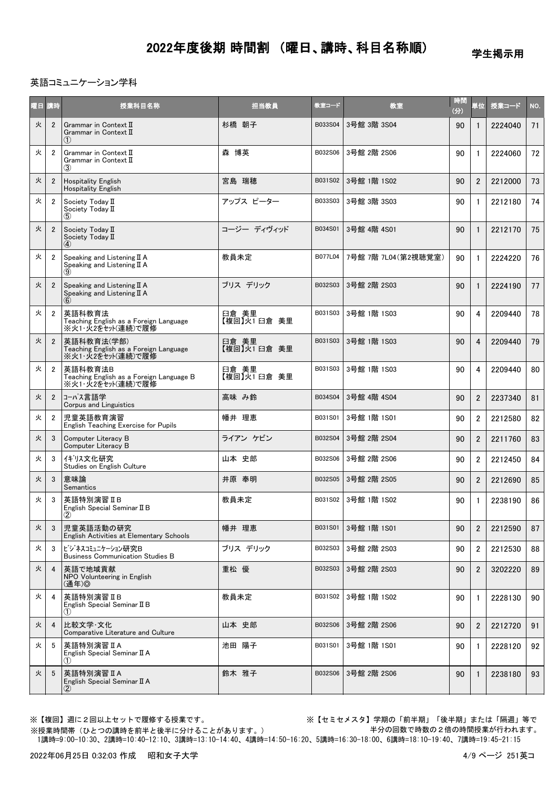学生掲示用

#### 英語コミュニケーション学科

| 曜日 講時 |                | 授業科目名称                                                                    | 担当教員                  | 教室コード   | 教室                   | 時間<br>(分) | 単位             | 授業コード   | NO. |
|-------|----------------|---------------------------------------------------------------------------|-----------------------|---------|----------------------|-----------|----------------|---------|-----|
| 火     | $\overline{2}$ | Grammar in Context II<br>Grammar in Context II<br>(1)                     | 杉橋 朝子                 | B033S04 | 3号館 3階 3S04          | 90        | $\mathbf{1}$   | 2224040 | 71  |
| 火     | $\overline{2}$ | Grammar in Context II<br>Grammar in Context $\mathbb I$<br>$\circled{3}$  | 森 博英                  | B032S06 | 3号館 2階 2S06          | 90        | $\mathbf{1}$   | 2224060 | 72  |
| 火     | $\overline{2}$ | <b>Hospitality English</b><br><b>Hospitality English</b>                  | 宮島 瑞穂                 | B031S02 | 3号館 1階 1S02          | 90        | $\overline{2}$ | 2212000 | 73  |
| 火     | $\overline{2}$ | Society Today II<br>Society Today II<br>$\left( 5\right)$                 | アップス ピーター             | B033S03 | 3号館 3階 3S03          | 90        | $\mathbf{1}$   | 2212180 | 74  |
| 火     | $\overline{2}$ | Society Today II<br>Society Today II<br>$\circled{4}$                     | コージー ディヴィッド           | B034S01 | 3号館 4階 4S01          | 90        | $\mathbf{1}$   | 2212170 | 75  |
| 火     | $\overline{2}$ | Speaking and Listening II A<br>Speaking and Listening II A<br>(9)         | 教員未定                  | B077L04 | 7号館 7階 7L04 (第2視聴覚室) | 90        | $\mathbf{1}$   | 2224220 | 76  |
| 火     | $\overline{2}$ | Speaking and Listening $II A$<br>Speaking and Listening II A<br>(6)       | ブリス デリック              | B032S03 | 3号館 2階 2S03          | 90        | $\mathbf{1}$   | 2224190 | 77  |
| 火     | $\overline{2}$ | 英語科教育法<br>Teaching English as a Foreign Language<br>※火1・火2をセット(連続)で履修     | 臼倉 美里<br>【複回】火1日倉 美里  | B031S03 | 3号館 1階 1S03          | 90        | 4              | 2209440 | 78  |
| 火     | $\overline{2}$ | 英語科教育法(学部)<br>Teaching English as a Foreign Language<br>※火1・火2をセット(連続)で履修 | 臼倉 美里<br>【複回】火1 臼倉 美里 | B031S03 | 3号館 1階 1S03          | 90        | $\overline{4}$ | 2209440 | 79  |
| 火     | $\overline{2}$ | 英語科教育法B<br>Teaching English as a Foreign Language B<br>※火1・火2をセット(連続)で履修  | 臼倉 美里<br>【複回】火1 臼倉 美里 | B031S03 | 3号館 1階 1S03          | 90        | 4              | 2209440 | 80  |
| 火     | $\overline{2}$ | コーパス言語学<br>Corpus and Linguistics                                         | 高味 み鈴                 | B034S04 | 3号館 4階 4S04          | 90        | $\overline{2}$ | 2237340 | 81  |
| 火     | $\overline{2}$ | 児童英語教育演習<br>English Teaching Exercise for Pupils                          | 幡井 理恵                 | B031S01 | 3号館 1階 1S01          | 90        | $\overline{2}$ | 2212580 | 82  |
| 火     | 3              | Computer Literacy B<br>Computer Literacy B                                | ライアン ケビン              | B032S04 | 3号館 2階 2S04          | 90        | $\overline{2}$ | 2211760 | 83  |
| 火     | 3              | イギリス文化研究<br>Studies on English Culture                                    | 山本 史郎                 | B032S06 | 3号館 2階 2S06          | 90        | $\overline{2}$ | 2212450 | 84  |
| 火     | 3              | 意味論<br><b>Semantics</b>                                                   | 井原 奉明                 | B032S05 | 3号館 2階 2S05          | 90        | $\overline{2}$ | 2212690 | 85  |
| 火     | 3              | 英語特別演習ⅡB<br>English Special Seminar II B<br>$\circled{2}$                 | 教員未定                  | B031S02 | 3号館 1階 1S02          | 90        | 1              | 2238190 | 86  |
| 火     | 3              | 児章英語活動の研究<br>English Activities at Elementary Schools                     | 幡井 理恵                 | B031S01 | 3号館 1階 1S01          | 90        | $\overline{2}$ | 2212590 | 87  |
| 火     | 3              | ビジネスコミュニケーション研究B<br><b>Business Communication Studies B</b>               | ブリス デリック              | B032S03 | 3号館 2階 2S03          | 90        | 2              | 2212530 | 88  |
| 火     | $\overline{4}$ | 英語で地域貢献<br>NPO Volunteering in English<br>(通年)©                           | 重松 優                  | B032S03 | 3号館 2階 2S03          | 90        | $\overline{2}$ | 3202220 | 89  |
| 火     | 4              | 英語特別演習 IB<br>English Special Seminar II B<br>(1)                          | 教員未定                  | B031S02 | 3号館 1階 1S02          | 90        | $\mathbf{1}$   | 2228130 | 90  |
| 火     | $\overline{4}$ | 比較文学·文化<br>Comparative Literature and Culture                             | 山本 史郎                 | B032S06 | 3号館 2階 2S06          | 90        | $\overline{2}$ | 2212720 | 91  |
| 火     | 5              | 英語特別演習ⅡA<br>English Special Seminar II A<br>(1)                           | 池田 陽子                 | B031S01 | 3号館 1階 1S01          | 90        | $\mathbf{1}$   | 2228120 | 92  |
| 火     | 5              | 英語特別演習ⅡA<br>English Special Seminar II A<br>$\circledZ$                   | 鈴木 雅子                 | B032S06 | 3号館 2階 2S06          | 90        | $\mathbf{1}$   | 2238180 | 93  |

※【複回】週に2回以上セットで履修する授業です。 ※【セミセメスタ】学期の「前半期」「後半期」または「隔週」等で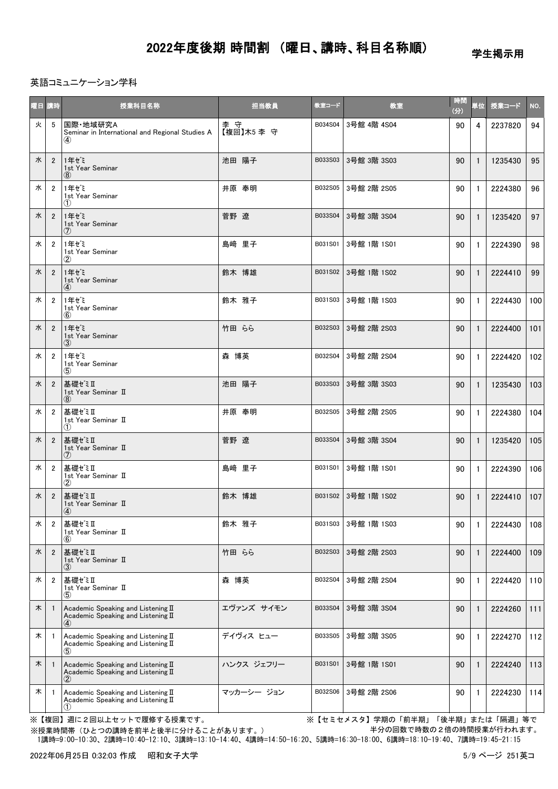学生掲示用

#### 英語コミュニケーション学科

|   | 曜日 講時          | 授業科目名称                                                                                    | 担当教員             | 教室コード   | 教室          | 時間<br>(3) | 単位           | <b>授業コード</b> | NO. |
|---|----------------|-------------------------------------------------------------------------------------------|------------------|---------|-------------|-----------|--------------|--------------|-----|
| 火 | 5              | 国際·地域研究A<br>Seminar in International and Regional Studies A<br>$\bf(4)$                   | 李守<br>【複回】木5 李 守 | B034S04 | 3号館 4階 4S04 | 90        | 4            | 2237820      | 94  |
| 水 | $\overline{2}$ | 1年ゼミ<br>1st Year Seminar<br>(8)                                                           | 池田 陽子            | B033S03 | 3号館 3階 3S03 | 90        | $\mathbf{1}$ | 1235430      | 95  |
| 水 | $\overline{2}$ | 1年ぜミ<br>1st Year Seminar<br>(1)                                                           | 井原 奉明            | B032S05 | 3号館 2階 2S05 | 90        | $\mathbf{1}$ | 2224380      | 96  |
| 水 | $\overline{2}$ | 1年ぜミ<br>1st Year Seminar<br>(7)                                                           | 菅野 遼             | B033S04 | 3号館 3階 3S04 | 90        | $\mathbf{1}$ | 1235420      | 97  |
| 水 | $\overline{2}$ | 1年ゼミ<br>1st Year Seminar<br>$\circled{2}$                                                 | 島﨑 里子            | B031S01 | 3号館 1階 1S01 | 90        | $\mathbf{1}$ | 2224390      | 98  |
| 水 | $\overline{2}$ | 1年ゼミ<br>1st Year Seminar<br>$\bf(4)$                                                      | 鈴木 博雄            | B031S02 | 3号館 1階 1S02 | 90        | $\mathbf{1}$ | 2224410      | 99  |
| 水 | $\overline{2}$ | 1年ゼミ<br>1st Year Seminar<br>(6)                                                           | 鈴木 雅子            | B031S03 | 3号館 1階 1S03 | 90        | $\mathbf{1}$ | 2224430      | 100 |
| 水 | $\overline{2}$ | 1年ゼミ<br>1st Year Seminar<br>(3)                                                           | 竹田 らら            | B032S03 | 3号館 2階 2S03 | 90        | $\mathbf{1}$ | 2224400      | 101 |
| 水 | $\overline{2}$ | 1年ゼミ<br>1st Year Seminar<br>(5)                                                           | 森 博英             | B032S04 | 3号館 2階 2S04 | 90        | $\mathbf{1}$ | 2224420      | 102 |
| 水 | $\overline{2}$ | 基礎ゼミⅡ<br>1st Year Seminar II<br>(8)                                                       | 池田 陽子            | B033S03 | 3号館 3階 3S03 | 90        | $\mathbf{1}$ | 1235430      | 103 |
| 水 | $\overline{2}$ | 基礎ゼミⅡ<br>1st Year Seminar II<br>(1)                                                       | 井原 奉明            | B032S05 | 3号館 2階 2S05 | 90        | $\mathbf{1}$ | 2224380      | 104 |
| 水 | $\overline{2}$ | 基礎ゼミⅡ<br>1st Year Seminar II<br>$\circled7$                                               | 菅野 遼             | B033S04 | 3号館 3階 3S04 | 90        | $\mathbf{1}$ | 1235420      | 105 |
| 水 | $\overline{2}$ | 基礎ゼミⅡ<br>1st Year Seminar II<br>$\circledz$                                               | 島﨑 里子            | B031S01 | 3号館 1階 1S01 | 90        | $\mathbf{1}$ | 2224390      | 106 |
| 水 | $\overline{2}$ | 基礎ゼミⅡ<br>1st Year Seminar II<br>$\bf(4)$                                                  | 鈴木 博雄            | B031S02 | 3号館 1階 1S02 | 90        | $\mathbf{1}$ | 2224410      | 107 |
| 水 | $\overline{2}$ | 基礎ゼミⅡ<br>1st Year Seminar II<br>$\circled6$                                               | 鈴木 雅子            | B031S03 | 3号館 1階 1S03 | 90        | $\mathbf{1}$ | 2224430      | 108 |
| 水 | $\overline{2}$ | 基礎ゼミⅡ<br>1st Year Seminar II<br>3)                                                        | 竹田 らら            | B032S03 | 3号館 2階 2S03 | 90        | $\mathbf{1}$ | 2224400      | 109 |
| 水 | $\overline{2}$ | 基礎ゼミⅡ<br>1st Year Seminar II<br>$\circledS$                                               | 森 博英             | B032S04 | 3号館 2階 2S04 | 90        | $\mathbf{1}$ | 2224420      | 110 |
| 木 |                | Academic Speaking and Listening II<br>Academic Speaking and Listening II<br>$\circ$       | エヴァンズ サイモン       | B033S04 | 3号館 3階 3S04 | 90        | $\mathbf{1}$ | 2224260      | 111 |
| 木 | -1             | Academic Speaking and Listening II<br>Academic Speaking and Listening II<br>(5)           | デイヴィス ヒュー        | B033S05 | 3号館 3階 3S05 | 90        | 1            | 2224270      | 112 |
| 木 |                | Academic Speaking and Listening II<br>Academic Speaking and Listening II<br>$\circled{2}$ | ハンクス ジェフリー       | B031S01 | 3号館 1階 1S01 | 90        | $\mathbf{1}$ | 2224240      | 113 |
| 木 | $\overline{1}$ | Academic Speaking and Listening II<br>Academic Speaking and Listening II<br>(1)           | マッカーシー ジョン       | B032S06 | 3号館 2階 2S06 | 90        | 1            | 2224230      | 114 |

※【複回】週に2回以上セットで履修する授業です。 ※【セミセメスタ】学期の「前半期」「後半期」または「隔週」等で 半分の回数で時数の2倍の時間授業が行われます。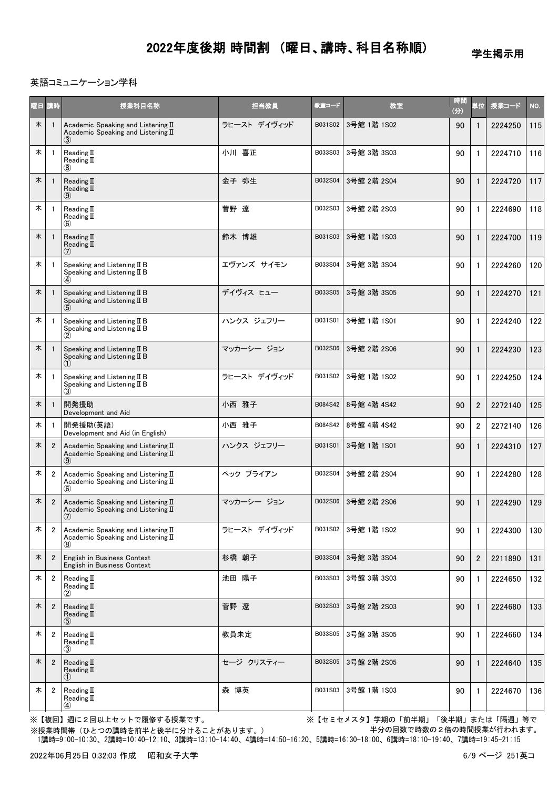学生掲示用

### 英語コミュニケーション学科

|   | 曜日 講時          | 授業科目名称                                                                             | 担当教員         | 教室コード   | 教室          | 時間<br>(分) | 単位             | 授業コード   | NO. |
|---|----------------|------------------------------------------------------------------------------------|--------------|---------|-------------|-----------|----------------|---------|-----|
| 木 |                | Academic Speaking and Listening II<br>Academic Speaking and Listening II           | ラヒースト デイヴィッド | B031S02 | 3号館 1階 1S02 | 90        | $\mathbf{1}$   | 2224250 | 115 |
| 木 |                | Reading $II$<br>Reading $\rm I\hspace{-0.50ex}I$<br>(8)                            | 小川 喜正        | B033S03 | 3号館 3階 3S03 | 90        | $\mathbf{1}$   | 2224710 | 116 |
| 木 |                | Reading $\mathbb I$<br>Reading $\mathbb I$<br>(9)                                  | 金子 弥生        | B032S04 | 3号館 2階 2S04 | 90        | $\mathbf{1}$   | 2224720 | 117 |
| 木 |                | Reading $\rm I\hspace{-0.50ex}I$<br>Reading II<br>(6)                              | 菅野 遼         | B032S03 | 3号館 2階 2S03 | 90        | $\mathbf{1}$   | 2224690 | 118 |
| 木 |                | Reading $\mathbb I$<br>Reading II<br>(7)                                           | 鈴木 博雄        | B031S03 | 3号館 1階 1S03 | 90        | $\mathbf{1}$   | 2224700 | 119 |
| 木 |                | Speaking and Listening $I\!I$ B<br>Speaking and Listening $I\!I$ B<br>$\bf{a}$     | エヴァンズ サイモン   | B033S04 | 3号館 3階 3S04 | 90        | $\mathbf{1}$   | 2224260 | 120 |
| 木 |                | Speaking and Listening II B<br>Speaking and Listening II B                         | デイヴィス ヒュー    | B033S05 | 3号館 3階 3S05 | 90        | $\mathbf{1}$   | 2224270 | 121 |
| 木 |                | Speaking and Listening II B<br>Speaking and Listening II B<br>$\circled{2}$        | ハンクス ジェフリー   | B031S01 | 3号館 1階 1S01 | 90        | $\mathbf{1}$   | 2224240 | 122 |
| 木 |                | Speaking and Listening II B<br>Speaking and Listening II B                         | マッカーシー ジョン   | B032S06 | 3号館 2階 2S06 | 90        | $\mathbf{1}$   | 2224230 | 123 |
| 木 |                | Speaking and Listening $I\!I$ B<br>Speaking and Listening II B<br>(3)              | ラヒースト デイヴィッド | B031S02 | 3号館 1階 1S02 | 90        | $\mathbf{1}$   | 2224250 | 124 |
| 木 |                | 開発援助<br>Development and Aid                                                        | 小西 雅子        | B084S42 | 8号館 4階 4S42 | 90        | $\overline{2}$ | 2272140 | 125 |
| 木 |                | 開発援助(英語)<br>Development and Aid (in English)                                       | 小西 雅子        | B084S42 | 8号館 4階 4S42 | 90        | $\overline{2}$ | 2272140 | 126 |
| 木 | $\overline{2}$ | Academic Speaking and Listening II<br>Academic Speaking and Listening II<br>(9)    | ハンクス ジェフリー   | B031S01 | 3号館 1階 1S01 | 90        | $\mathbf{1}$   | 2224310 | 127 |
| 木 | $\overline{2}$ | Academic Speaking and Listening II<br>Academic Speaking and Listening II<br>(6)    | ペック ブライアン    | B032S04 | 3号館 2階 2S04 | 90        | $\mathbf{1}$   | 2224280 | 128 |
| 木 | $\overline{2}$ | Academic Speaking and Listening II<br>Academic Speaking and Listening II<br>$\cup$ | マッカーシー ジョン   | B032S06 | 3号館 2階 2S06 | 90        | 1              | 2224290 | 129 |
| 木 | 2              | Academic Speaking and Listening II<br>Academic Speaking and Listening II<br>(8)    | ラヒースト デイヴィッド | B031S02 | 3号館 1階 1S02 | 90        | $\mathbf{1}$   | 2224300 | 130 |
| 木 | $\overline{2}$ | English in Business Context<br>English in Business Context                         | 杉橋 朝子        | B033S04 | 3号館 3階 3S04 | 90        | $\overline{2}$ | 2211890 | 131 |
| 木 | $\overline{2}$ | Reading $\mathbb I$<br>Reading $II$<br>(2)                                         | 池田 陽子        | B033S03 | 3号館 3階 3S03 | 90        | 1              | 2224650 | 132 |
| 木 | $\overline{2}$ | Reading $II$<br>Reading $II$<br>(5)                                                | 菅野 遼         | B032S03 | 3号館 2階 2S03 | 90        | $\mathbf{1}$   | 2224680 | 133 |
| 木 | $\overline{2}$ | Reading II<br>Reading $\mathbb I$<br>(3)                                           | 教員未定         | B033S05 | 3号館 3階 3S05 | 90        | $\mathbf{1}$   | 2224660 | 134 |
| 木 | $\overline{2}$ | Reading $II$<br>Reading $\mathbb I$<br>(1)                                         | セージ クリスティー   | B032S05 | 3号館 2階 2S05 | 90        | $\mathbf{1}$   | 2224640 | 135 |
| 木 | $\overline{2}$ | Reading $II$<br>Reading II<br>$\circled{4}$                                        | 森 博英         | B031S03 | 3号館 1階 1S03 | 90        | 1              | 2224670 | 136 |

※【複回】週に2回以上セットで履修する授業です。 ※【セミセメスタ】学期の「前半期」「後半期」または「隔週」等で 半分の回数で時数の2倍の時間授業が行われます。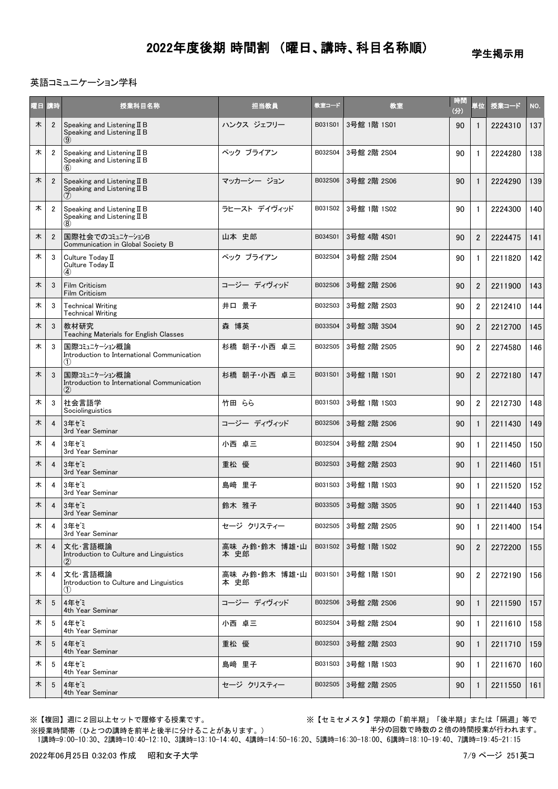学生掲示用

#### 英語コミュニケーション学科

| 曜日 講時 |                | 授業科目名称                                                                        | 担当教員                  | 教室コード   | 教室          | 時間<br>(分) | 単位             | 授業コード   | NO. |
|-------|----------------|-------------------------------------------------------------------------------|-----------------------|---------|-------------|-----------|----------------|---------|-----|
| 木     | $\overline{2}$ | Speaking and Listening II B<br>Speaking and Listening II B                    | ハンクス ジェフリー            | B031S01 | 3号館 1階 1S01 | 90        | 1              | 2224310 | 137 |
| 木     | $\overline{2}$ | Speaking and Listening II B<br>Speaking and Listening II B                    | ペック ブライアン             | B032S04 | 3号館 2階 2S04 | 90        | $\mathbf{1}$   | 2224280 | 138 |
| 木     | $\overline{2}$ | Speaking and Listening II B<br>Speaking and Listening II B                    | マッカーシー ジョン            | B032S06 | 3号館 2階 2S06 | 90        | 1              | 2224290 | 139 |
| 木     | $\overline{2}$ | Speaking and Listening II B<br>Speaking and Listening II B                    | ラヒースト デイヴィッド          | B031S02 | 3号館 1階 1S02 | 90        | $\mathbf{1}$   | 2224300 | 140 |
| 木     | $\overline{2}$ | 国際社会でのコミュニケーションB<br>Communication in Global Society B                         | 山本 史郎                 | B034S01 | 3号館 4階 4S01 | 90        | $\overline{2}$ | 2224475 | 141 |
| 木     | 3              | Culture Today II<br>Culture Today II<br>$\bf(4)$                              | ペック ブライアン             | B032S04 | 3号館 2階 2S04 | 90        | $\mathbf{1}$   | 2211820 | 142 |
| 木     | 3              | Film Criticism<br>Film Criticism                                              | コージー ディヴィッド           | B032S06 | 3号館 2階 2S06 | 90        | $\overline{2}$ | 2211900 | 143 |
| 木     | 3              | <b>Technical Writing</b><br><b>Technical Writing</b>                          | 井口 景子                 | B032S03 | 3号館 2階 2S03 | 90        | $\overline{2}$ | 2212410 | 144 |
| 木     | 3              | 教材研究<br>Teaching Materials for English Classes                                | 森 博英                  | B033S04 | 3号館 3階 3S04 | 90        | $\overline{2}$ | 2212700 | 145 |
| 木     | 3              | 国際コミュニケーション概論<br>Introduction to International Communication<br>(1)           | 杉橋 朝子・小西 卓三           | B032S05 | 3号館 2階 2S05 | 90        | $\overline{2}$ | 2274580 | 146 |
| 木     | 3              | 国際コミュニケーション概論<br>Introduction to International Communication<br>$\circled{2}$ | 杉橋 朝子・小西 卓三           | B031S01 | 3号館 1階 1S01 | 90        | $\overline{2}$ | 2272180 | 147 |
| 木     | 3              | 社会言語学<br>Sociolinguistics                                                     | 竹田 らら                 | B031S03 | 3号館 1階 1S03 | 90        | $\overline{2}$ | 2212730 | 148 |
| 木     | $\overline{4}$ | 3年ゼミ<br>3rd Year Seminar                                                      | コージー ディヴィッド           | B032S06 | 3号館 2階 2S06 | 90        | $\mathbf{1}$   | 2211430 | 149 |
| 木     | 4              | 3年ゼミ<br>3rd Year Seminar                                                      | 小西 卓三                 | B032S04 | 3号館 2階 2S04 | 90        | $\mathbf{1}$   | 2211450 | 150 |
| 木     | 4              | 3年ゼミ<br>3rd Year Seminar                                                      | 重松 優                  | B032S03 | 3号館 2階 2S03 | 90        | $\mathbf{1}$   | 2211460 | 151 |
| 木     | 4              | 3年ゼミ<br>3rd Year Seminar                                                      | 島﨑 里子                 | B031S03 | 3号館 1階 1S03 | 90        | $\mathbf{1}$   | 2211520 | 152 |
| 木     | 4              | 3年ゼミ<br>3rd Year Seminar                                                      | 鈴木 雅子                 | B033S05 | 3号館 3階 3S05 | 90        | $\mathbf{1}$   | 2211440 | 153 |
| 木     | 4              | 3年ゼミ<br>3rd Year Seminar                                                      | セージ クリスティー            | B032S05 | 3号館 2階 2S05 | 90        | $\mathbf{1}$   | 2211400 | 154 |
| 木     | $\overline{4}$ | 文化・言語概論<br>Introduction to Culture and Linguistics<br>$\circled{2}$           | 高味 み鈴 鈴木 博雄 山<br>本 史郎 | B031S02 | 3号館 1階 1S02 | 90        | $\overline{2}$ | 2272200 | 155 |
| 木     | 4              | 文化·言語概論<br>Introduction to Culture and Linguistics<br>(1)                     | 高味 み鈴 鈴木 博雄 山<br>本 史郎 | B031S01 | 3号館 1階 1S01 | 90        | $\overline{2}$ | 2272190 | 156 |
| 木     | 5              | 4年ゼミ<br>4th Year Seminar                                                      | コージー ディヴィッド           | B032S06 | 3号館 2階 2S06 | 90        | 1              | 2211590 | 157 |
| 木     | 5              | 4年ゼミ<br>4th Year Seminar                                                      | 小西 卓三                 | B032S04 | 3号館 2階 2S04 | 90        | $\mathbf{1}$   | 2211610 | 158 |
| 木     | 5              | 4年ゼミ<br>4th Year Seminar                                                      | 重松 優                  | B032S03 | 3号館 2階 2S03 | 90        | $\mathbf{1}$   | 2211710 | 159 |
| 木     | 5              | 4年ゼミ<br>4th Year Seminar                                                      | 島﨑 里子                 | B031S03 | 3号館 1階 1S03 | 90        | $\mathbf{1}$   | 2211670 | 160 |
| 木     | 5              | 4年ゼミ<br>4th Year Seminar                                                      | セージ クリスティー            | B032S05 | 3号館 2階 2S05 | 90        | -1             | 2211550 | 161 |

※【複回】週に2回以上セットで履修する授業です。 ※【セミセメスタ】学期の「前半期」「後半期」または「隔週」等で 半分の回数で時数の2倍の時間授業が行われます。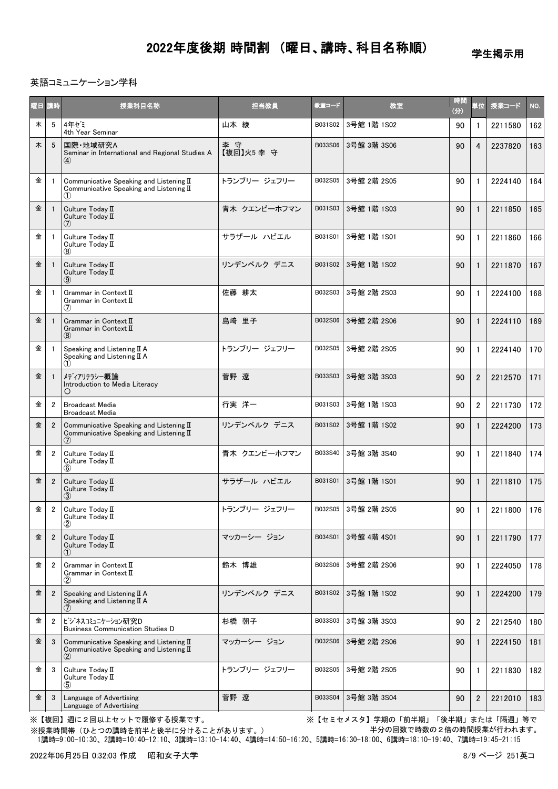学生掲示用

### 英語コミュニケーション学科

| 曜日 講時 |                | 授業科目名称                                                                                                  | 担当教員              | 教室コード   | 教室          | 時間<br>(分) | 単位             | 授業コード   | NO. |
|-------|----------------|---------------------------------------------------------------------------------------------------------|-------------------|---------|-------------|-----------|----------------|---------|-----|
| 木     | 5              | 4年ぜミ<br>4th Year Seminar                                                                                | 山本 綾              | B031S02 | 3号館 1階 1S02 | 90        | 1              | 2211580 | 162 |
| 木     | 5              | 国際·地域研究A<br>Seminar in International and Regional Studies A<br>$\bf(4)$                                 | 李 守<br>【複回】火5 李 守 | B033S06 | 3号館 3階 3S06 | 90        | 4              | 2237820 | 163 |
| 金     |                | Communicative Speaking and Listening II<br>Communicative Speaking and Listening II<br>(1)               | トランブリー ジェフリー      | B032S05 | 3号館 2階 2S05 | 90        | 1              | 2224140 | 164 |
| 金     |                | Culture Today II<br>Culture Today II<br>$\left( 7\right)$                                               | 青木 クエンビーホフマン      | B031S03 | 3号館 1階 1S03 | 90        | 1              | 2211850 | 165 |
| 金     | -1             | Culture Today II<br>Culture Today II<br>(8)                                                             | サラザール ハビエル        | B031S01 | 3号館 1階 1S01 | 90        | 1              | 2211860 | 166 |
| 金     |                | Culture Today II<br>Culture Today II<br>$\circled{9}$                                                   | リンデンベルク デニス       | B031S02 | 3号館 1階 1S02 | 90        | 1              | 2211870 | 167 |
| 金     | -1             | Grammar in Context II<br>Grammar in Context II<br>(7)                                                   | 佐藤 耕太             | B032S03 | 3号館 2階 2S03 | 90        | 1              | 2224100 | 168 |
| 金     |                | Grammar in Context II<br>Grammar in Context II<br>(8)                                                   | 島崎 里子             | B032S06 | 3号館 2階 2S06 | 90        | 1              | 2224110 | 169 |
| 金     |                | Speaking and Listening $II A$<br>Speaking and Listening $II A$<br>(1)                                   | トランブリー ジェフリー      | B032S05 | 3号館 2階 2S05 | 90        | $\mathbf{1}$   | 2224140 | 170 |
| 金     |                | メディアリテラシー概論<br>Introduction to Media Literacy<br>$\circ$                                                | 菅野 遼              | B033S03 | 3号館 3階 3S03 | 90        | $\overline{2}$ | 2212570 | 171 |
| 金     | 2              | <b>Broadcast Media</b><br><b>Broadcast Media</b>                                                        | 行実 洋一             | B031S03 | 3号館 1階 1S03 | 90        | $\overline{2}$ | 2211730 | 172 |
| 金     | $\overline{2}$ | Communicative Speaking and Listening II<br>Communicative Speaking and Listening II<br>(7)               | リンデンベルク デニス       | B031S02 | 3号館 1階 1S02 | 90        | $\mathbf{1}$   | 2224200 | 173 |
| 金     | $\overline{2}$ | Culture Today II<br>Culture Today II<br>$\circledast$                                                   | 青木 クエンビーホフマン      | B033S40 | 3号館 3階 3S40 | 90        | $\mathbf{1}$   | 2211840 | 174 |
| 金     | $\overline{2}$ | Culture Today II<br>Culture Today II<br>(3)                                                             | サラザール ハビエル        | B031S01 | 3号館 1階 1S01 | 90        | 1              | 2211810 | 175 |
| 金     | $\overline{2}$ | Culture Today II<br>Culture Today II<br>2                                                               | トランブリー ジェフリー      | B032S05 | 3号館 2階 2S05 | 90        | $\mathbf{1}$   | 2211800 | 176 |
| 金     | $\overline{2}$ | Culture Today II<br>Culture Today II<br>(1)                                                             | マッカーシー ジョン        | B034S01 | 3号館 4階 4S01 | 90        | 1              | 2211790 | 177 |
| 金     | $\overline{2}$ | Grammar in Context II<br>Grammar in Context II<br>$\rm(2)$                                              | 鈴木 博雄             | B032S06 | 3号館 2階 2S06 | 90        | $\mathbf{1}$   | 2224050 | 178 |
| 金     | $\overline{2}$ | Speaking and Listening II A<br>Speaking and Listening $II A$<br>(7)                                     | リンデンベルク デニス       | B031S02 | 3号館 1階 1S02 | 90        | 1              | 2224200 | 179 |
| 金     | $\overline{2}$ | ビジネスコミュニケーション研究D<br><b>Business Communication Studies D</b>                                             | 杉橋 朝子             | B033S03 | 3号館 3階 3S03 | 90        | $\overline{2}$ | 2212540 | 180 |
| 金     | 3              | Communicative Speaking and Listening II<br>Communicative Speaking and Listening $\mathbb I$<br>$\rm(2)$ | マッカーシー ジョン        | B032S06 | 3号館 2階 2S06 | 90        | $\mathbf{1}$   | 2224150 | 181 |
| 金     | 3              | Culture Today II<br>Culture Today II<br>(5)                                                             | トランブリー ジェフリー      | B032S05 | 3号館 2階 2S05 | 90        | 1              | 2211830 | 182 |
| 金     | 3              | Language of Advertising<br>Language of Advertising                                                      | 菅野 遼              | B033S04 | 3号館 3階 3S04 | 90        | $\overline{2}$ | 2212010 | 183 |

※【複回】週に2回以上セットで履修する授業です。 ※【セミセメスタ】学期の「前半期」「後半期」または「隔週」等で 半分の回数で時数の2倍の時間授業が行われます。